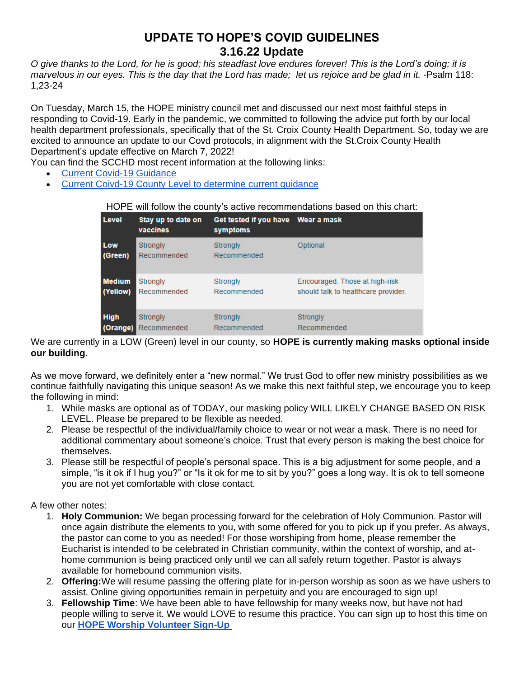## **UPDATE TO HOPE'S COVID GUIDELINES 3.16.22 Update**

*O give thanks to the Lord, for he is good; his steadfast love endures forever! This is the Lord's doing; it is marvelous in our eyes. This is the day that the Lord has made; let us rejoice and be glad in it. -*Psalm 118: 1,23-24

On Tuesday, March 15, the HOPE ministry council met and discussed our next most faithful steps in responding to Covid-19. Early in the pandemic, we committed to following the advice put forth by our local health department professionals, specifically that of the St. Croix County Health Department. So, today we are excited to announce an update to our Covd protocols, in alignment with the St.Croix County Health Department's update effective on March 7, 2022!

You can find the SCCHD most recent information at the following links:

- [Current Covid-19 Guidance](about:blank)
- [Current Coivd-19 County Level to determine current guidance](about:blank)

## HOPE will follow the county's active recommendations based on this chart:

| l Level       | Stay up to date on<br>vaccines | Get tested if you have Wear a mask<br>symptoms |                                     |
|---------------|--------------------------------|------------------------------------------------|-------------------------------------|
| Low           | Strongly                       | Strongly                                       | Optional                            |
| (Green)       | Recommended                    | Recommended                                    |                                     |
| <b>Medium</b> | Strongly                       | Strongly                                       | Encouraged. Those at high-risk      |
| (Yellow)      | Recommended                    | Recommended                                    | should talk to healthcare provider. |
| <b>High</b>   | Strongly                       | Strongly                                       | Strongly                            |
| (Orange)      | Recommended                    | Recommended                                    | Recommended                         |

We are currently in a LOW (Green) level in our county, so **HOPE is currently making masks optional inside our building.**

As we move forward, we definitely enter a "new normal." We trust God to offer new ministry possibilities as we continue faithfully navigating this unique season! As we make this next faithful step, we encourage you to keep the following in mind:

- 1. While masks are optional as of TODAY, our masking policy WILL LIKELY CHANGE BASED ON RISK LEVEL. Please be prepared to be flexible as needed.
- 2. Please be respectful of the individual/family choice to wear or not wear a mask. There is no need for additional commentary about someone's choice. Trust that every person is making the best choice for themselves.
- 3. Please still be respectful of people's personal space. This is a big adjustment for some people, and a simple, "is it ok if I hug you?" or "Is it ok for me to sit by you?" goes a long way. It is ok to tell someone you are not yet comfortable with close contact.

## A few other notes:

- 1. **Holy Communion:** We began processing forward for the celebration of Holy Communion. Pastor will once again distribute the elements to you, with some offered for you to pick up if you prefer. As always, the pastor can come to you as needed! For those worshiping from home, please remember the Eucharist is intended to be celebrated in Christian community, within the context of worship, and athome communion is being practiced only until we can all safely return together. Pastor is always available for homebound communion visits.
- 2. **Offering:**We will resume passing the offering plate for in-person worship as soon as we have ushers to assist. Online giving opportunities remain in perpetuity and you are encouraged to sign up!
- 3. **Fellowship Time**: We have been able to have fellowship for many weeks now, but have not had people willing to serve it. We would LOVE to resume this practice. You can sign up to host this time on our **[HOPE Worship Volunteer Sign-Up](about:blank)**